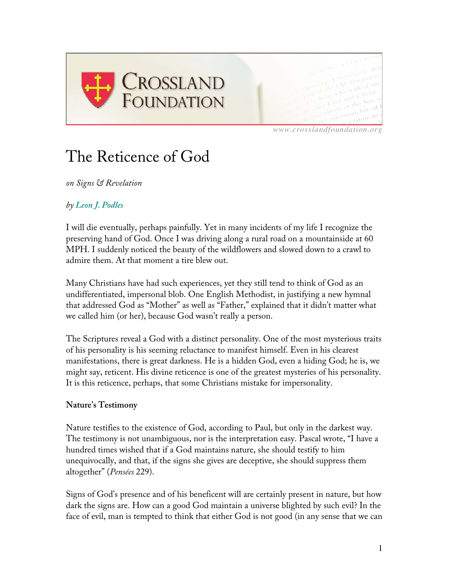

*www.crosslandfoundation.org*

# The Reticence of God

*on Signs & Revelation*

# *by Leon J. Podles*

I will die eventually, perhaps painfully. Yet in many incidents of my life I recognize the preserving hand of God. Once I was driving along a rural road on a mountainside at 60 MPH. I suddenly noticed the beauty of the wildflowers and slowed down to a crawl to admire them. At that moment a tire blew out.

Many Christians have had such experiences, yet they still tend to think of God as an undifferentiated, impersonal blob. One English Methodist, in justifying a new hymnal that addressed God as "Mother" as well as "Father," explained that it didn't matter what we called him (or her), because God wasn't really a person.

The Scriptures reveal a God with a distinct personality. One of the most mysterious traits of his personality is his seeming reluctance to manifest himself. Even in his clearest manifestations, there is great darkness. He is a hidden God, even a hiding God; he is, we might say, reticent. His divine reticence is one of the greatest mysteries of his personality. It is this reticence, perhaps, that some Christians mistake for impersonality.

### **Nature's Testimony**

Nature testifies to the existence of God, according to Paul, but only in the darkest way. The testimony is not unambiguous, nor is the interpretation easy. Pascal wrote, "I have a hundred times wished that if a God maintains nature, she should testify to him unequivocally, and that, if the signs she gives are deceptive, she should suppress them altogether" (*Pensées* 229).

Signs of God's presence and of his beneficent will are certainly present in nature, but how dark the signs are. How can a good God maintain a universe blighted by such evil? In the face of evil, man is tempted to think that either God is not good (in any sense that we can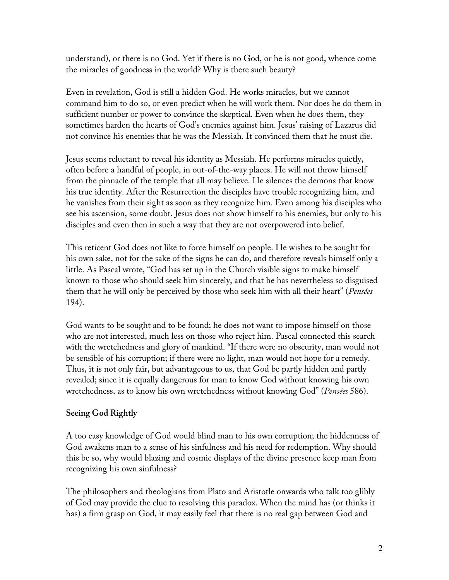understand), or there is no God. Yet if there is no God, or he is not good, whence come the miracles of goodness in the world? Why is there such beauty?

Even in revelation, God is still a hidden God. He works miracles, but we cannot command him to do so, or even predict when he will work them. Nor does he do them in sufficient number or power to convince the skeptical. Even when he does them, they sometimes harden the hearts of God's enemies against him. Jesus' raising of Lazarus did not convince his enemies that he was the Messiah. It convinced them that he must die.

Jesus seems reluctant to reveal his identity as Messiah. He performs miracles quietly, often before a handful of people, in out-of-the-way places. He will not throw himself from the pinnacle of the temple that all may believe. He silences the demons that know his true identity. After the Resurrection the disciples have trouble recognizing him, and he vanishes from their sight as soon as they recognize him. Even among his disciples who see his ascension, some doubt. Jesus does not show himself to his enemies, but only to his disciples and even then in such a way that they are not overpowered into belief.

This reticent God does not like to force himself on people. He wishes to be sought for his own sake, not for the sake of the signs he can do, and therefore reveals himself only a little. As Pascal wrote, "God has set up in the Church visible signs to make himself known to those who should seek him sincerely, and that he has nevertheless so disguised them that he will only be perceived by those who seek him with all their heart" (*Pensées* 194).

God wants to be sought and to be found; he does not want to impose himself on those who are not interested, much less on those who reject him. Pascal connected this search with the wretchedness and glory of mankind. "If there were no obscurity, man would not be sensible of his corruption; if there were no light, man would not hope for a remedy. Thus, it is not only fair, but advantageous to us, that God be partly hidden and partly revealed; since it is equally dangerous for man to know God without knowing his own wretchedness, as to know his own wretchedness without knowing God" (*Pensées* 586).

# **Seeing God Rightly**

A too easy knowledge of God would blind man to his own corruption; the hiddenness of God awakens man to a sense of his sinfulness and his need for redemption. Why should this be so, why would blazing and cosmic displays of the divine presence keep man from recognizing his own sinfulness?

The philosophers and theologians from Plato and Aristotle onwards who talk too glibly of God may provide the clue to resolving this paradox. When the mind has (or thinks it has) a firm grasp on God, it may easily feel that there is no real gap between God and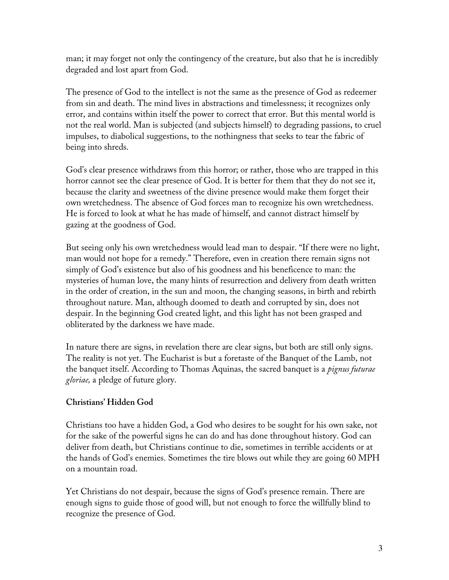man; it may forget not only the contingency of the creature, but also that he is incredibly degraded and lost apart from God.

The presence of God to the intellect is not the same as the presence of God as redeemer from sin and death. The mind lives in abstractions and timelessness; it recognizes only error, and contains within itself the power to correct that error. But this mental world is not the real world. Man is subjected (and subjects himself) to degrading passions, to cruel impulses, to diabolical suggestions, to the nothingness that seeks to tear the fabric of being into shreds.

God's clear presence withdraws from this horror; or rather, those who are trapped in this horror cannot see the clear presence of God. It is better for them that they do not see it, because the clarity and sweetness of the divine presence would make them forget their own wretchedness. The absence of God forces man to recognize his own wretchedness. He is forced to look at what he has made of himself, and cannot distract himself by gazing at the goodness of God.

But seeing only his own wretchedness would lead man to despair. "If there were no light, man would not hope for a remedy." Therefore, even in creation there remain signs not simply of God's existence but also of his goodness and his beneficence to man: the mysteries of human love, the many hints of resurrection and delivery from death written in the order of creation, in the sun and moon, the changing seasons, in birth and rebirth throughout nature. Man, although doomed to death and corrupted by sin, does not despair. In the beginning God created light, and this light has not been grasped and obliterated by the darkness we have made.

In nature there are signs, in revelation there are clear signs, but both are still only signs. The reality is not yet. The Eucharist is but a foretaste of the Banquet of the Lamb, not the banquet itself. According to Thomas Aquinas, the sacred banquet is a *pignus futurae gloriae,* a pledge of future glory.

# **Christians' Hidden God**

Christians too have a hidden God, a God who desires to be sought for his own sake, not for the sake of the powerful signs he can do and has done throughout history. God can deliver from death, but Christians continue to die, sometimes in terrible accidents or at the hands of God's enemies. Sometimes the tire blows out while they are going 60 MPH on a mountain road.

Yet Christians do not despair, because the signs of God's presence remain. There are enough signs to guide those of good will, but not enough to force the willfully blind to recognize the presence of God.